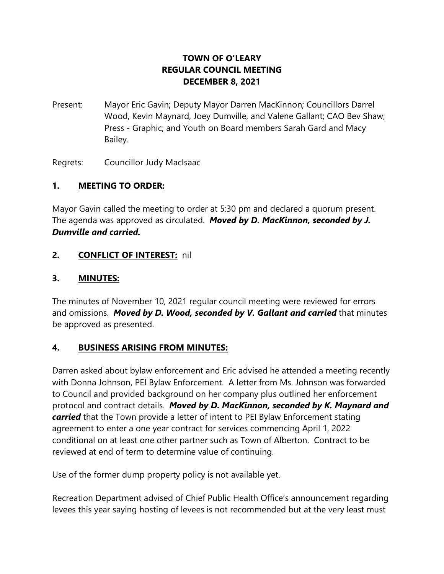## **TOWN OF O'LEARY REGULAR COUNCIL MEETING DECEMBER 8, 2021**

Present: Mayor Eric Gavin; Deputy Mayor Darren MacKinnon; Councillors Darrel Wood, Kevin Maynard, Joey Dumville, and Valene Gallant; CAO Bev Shaw; Press - Graphic; and Youth on Board members Sarah Gard and Macy Bailey.

Regrets: Councillor Judy MacIsaac

### **1. MEETING TO ORDER:**

Mayor Gavin called the meeting to order at 5:30 pm and declared a quorum present. The agenda was approved as circulated. *Moved by D. MacKinnon, seconded by J. Dumville and carried.*

### **2. CONFLICT OF INTEREST:** nil

#### **3. MINUTES:**

The minutes of November 10, 2021 regular council meeting were reviewed for errors and omissions. *Moved by D. Wood, seconded by V. Gallant and carried* that minutes be approved as presented.

### **4. BUSINESS ARISING FROM MINUTES:**

Darren asked about bylaw enforcement and Eric advised he attended a meeting recently with Donna Johnson, PEI Bylaw Enforcement. A letter from Ms. Johnson was forwarded to Council and provided background on her company plus outlined her enforcement protocol and contract details. *Moved by D. MacKinnon, seconded by K. Maynard and carried* that the Town provide a letter of intent to PEI Bylaw Enforcement stating agreement to enter a one year contract for services commencing April 1, 2022 conditional on at least one other partner such as Town of Alberton. Contract to be reviewed at end of term to determine value of continuing.

Use of the former dump property policy is not available yet.

Recreation Department advised of Chief Public Health Office's announcement regarding levees this year saying hosting of levees is not recommended but at the very least must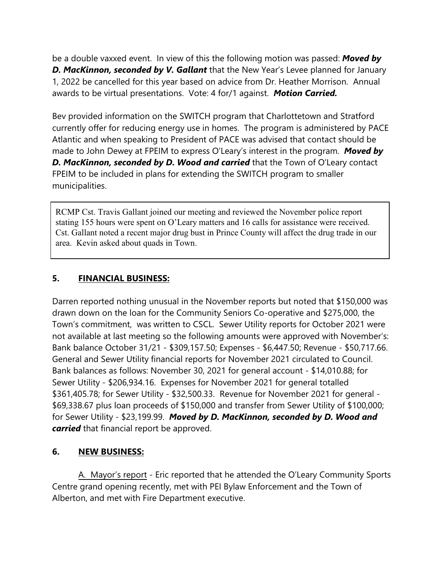be a double vaxxed event. In view of this the following motion was passed: *Moved by D. MacKinnon, seconded by V. Gallant* that the New Year's Levee planned for January 1, 2022 be cancelled for this year based on advice from Dr. Heather Morrison. Annual awards to be virtual presentations. Vote: 4 for/1 against. *Motion Carried.*

Bev provided information on the SWITCH program that Charlottetown and Stratford currently offer for reducing energy use in homes. The program is administered by PACE Atlantic and when speaking to President of PACE was advised that contact should be made to John Dewey at FPEIM to express O'Leary's interest in the program. *Moved by* **D. MacKinnon, seconded by D. Wood and carried** that the Town of O'Leary contact FPEIM to be included in plans for extending the SWITCH program to smaller municipalities.

RCMP Cst. Travis Gallant joined our meeting and reviewed the November police report stating 155 hours were spent on O'Leary matters and 16 calls for assistance were received. Cst. Gallant noted a recent major drug bust in Prince County will affect the drug trade in our area. Kevin asked about quads in Town.

## **5. FINANCIAL BUSINESS:**

Darren reported nothing unusual in the November reports but noted that \$150,000 was drawn down on the loan for the Community Seniors Co-operative and \$275,000, the Town's commitment, was written to CSCL. Sewer Utility reports for October 2021 were not available at last meeting so the following amounts were approved with November's: Bank balance October 31/21 - \$309,157.50; Expenses - \$6,447.50; Revenue - \$50,717.66. General and Sewer Utility financial reports for November 2021 circulated to Council. Bank balances as follows: November 30, 2021 for general account - \$14,010.88; for Sewer Utility - \$206,934.16. Expenses for November 2021 for general totalled \$361,405.78; for Sewer Utility - \$32,500.33. Revenue for November 2021 for general - \$69,338.67 plus loan proceeds of \$150,000 and transfer from Sewer Utility of \$100,000; for Sewer Utility - \$23,199.99. *Moved by D. MacKinnon, seconded by D. Wood and carried* that financial report be approved.

### **6. NEW BUSINESS:**

A. Mayor's report - Eric reported that he attended the O'Leary Community Sports Centre grand opening recently, met with PEI Bylaw Enforcement and the Town of Alberton, and met with Fire Department executive.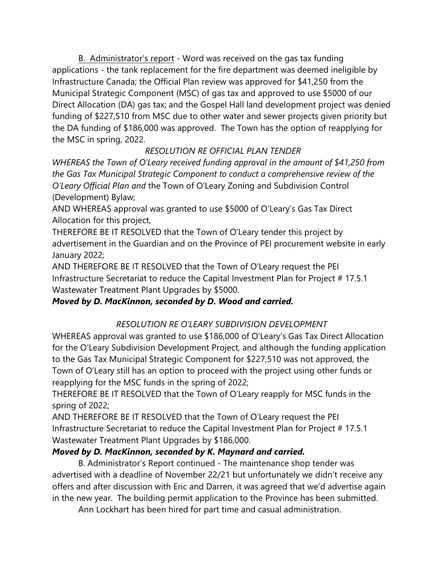B. Administrator's report - Word was received on the gas tax funding applications - the tank replacement for the fire department was deemed ineligible by Infrastructure Canada; the Official Plan review was approved for \$41,250 from the Municipal Strategic Component (MSC) of gas tax and approved to use \$5000 of our Direct Allocation (DA) gas tax; and the Gospel Hall land development project was denied funding of \$227,510 from MSC due to other water and sewer projects given priority but the DA funding of \$186,000 was approved. The Town has the option of reapplying for the MSC in spring, 2022.

# *RESOLUTION RE OFFICIAL PLAN TENDER*

*WHEREAS the Town of O'Leary received funding approval in the amount of \$41,250 from the Gas Tax Municipal Strategic Component to conduct a comprehensive review of the O'Leary Official Plan and* the Town of O'Leary Zoning and Subdivision Control (Development) Bylaw;

AND WHEREAS approval was granted to use \$5000 of O'Leary's Gas Tax Direct Allocation for this project,

THEREFORE BE IT RESOLVED that the Town of O'Leary tender this project by advertisement in the Guardian and on the Province of PEI procurement website in early January 2022;

AND THEREFORE BE IT RESOLVED that the Town of O'Leary request the PEI Infrastructure Secretariat to reduce the Capital Investment Plan for Project # 17.5.1 Wastewater Treatment Plant Upgrades by \$5000.

# *Moved by D. MacKinnon, seconded by D. Wood and carried.*

# *RESOLUTION RE O'LEARY SUBDIVISION DEVELOPMENT*

WHEREAS approval was granted to use \$186,000 of O'Leary's Gas Tax Direct Allocation for the O'Leary Subdivision Development Project, and although the funding application to the Gas Tax Municipal Strategic Component for \$227,510 was not approved, the Town of O'Leary still has an option to proceed with the project using other funds or reapplying for the MSC funds in the spring of 2022;

THEREFORE BE IT RESOLVED that the Town of O'Leary reapply for MSC funds in the spring of 2022;

AND THEREFORE BE IT RESOLVED that the Town of O'Leary request the PEI Infrastructure Secretariat to reduce the Capital Investment Plan for Project # 17.5.1 Wastewater Treatment Plant Upgrades by \$186,000.

# *Moved by D. MacKinnon, seconded by K. Maynard and carried.*

B. Administrator's Report continued - The maintenance shop tender was advertised with a deadline of November 22/21 but unfortunately we didn't receive any offers and after discussion with Eric and Darren, it was agreed that we'd advertise again in the new year. The building permit application to the Province has been submitted.

Ann Lockhart has been hired for part time and casual administration.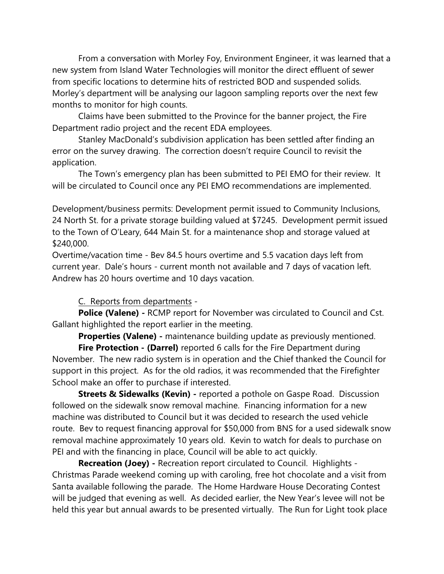From a conversation with Morley Foy, Environment Engineer, it was learned that a new system from Island Water Technologies will monitor the direct effluent of sewer from specific locations to determine hits of restricted BOD and suspended solids. Morley's department will be analysing our lagoon sampling reports over the next few months to monitor for high counts.

Claims have been submitted to the Province for the banner project, the Fire Department radio project and the recent EDA employees.

Stanley MacDonald's subdivision application has been settled after finding an error on the survey drawing. The correction doesn't require Council to revisit the application.

The Town's emergency plan has been submitted to PEI EMO for their review. It will be circulated to Council once any PEI EMO recommendations are implemented.

Development/business permits: Development permit issued to Community Inclusions, 24 North St. for a private storage building valued at \$7245. Development permit issued to the Town of O'Leary, 644 Main St. for a maintenance shop and storage valued at \$240,000.

Overtime/vacation time - Bev 84.5 hours overtime and 5.5 vacation days left from current year. Dale's hours - current month not available and 7 days of vacation left. Andrew has 20 hours overtime and 10 days vacation.

### C. Reports from departments -

**Police (Valene) -** RCMP report for November was circulated to Council and Cst. Gallant highlighted the report earlier in the meeting.

**Properties (Valene)** - maintenance building update as previously mentioned.

**Fire Protection - (Darrel)** reported 6 calls for the Fire Department during November. The new radio system is in operation and the Chief thanked the Council for support in this project. As for the old radios, it was recommended that the Firefighter School make an offer to purchase if interested.

**Streets & Sidewalks (Kevin)** - reported a pothole on Gaspe Road. Discussion followed on the sidewalk snow removal machine. Financing information for a new machine was distributed to Council but it was decided to research the used vehicle route. Bev to request financing approval for \$50,000 from BNS for a used sidewalk snow removal machine approximately 10 years old. Kevin to watch for deals to purchase on PEI and with the financing in place, Council will be able to act quickly.

**Recreation (Joey) -** Recreation report circulated to Council. Highlights - Christmas Parade weekend coming up with caroling, free hot chocolate and a visit from Santa available following the parade. The Home Hardware House Decorating Contest will be judged that evening as well. As decided earlier, the New Year's levee will not be held this year but annual awards to be presented virtually. The Run for Light took place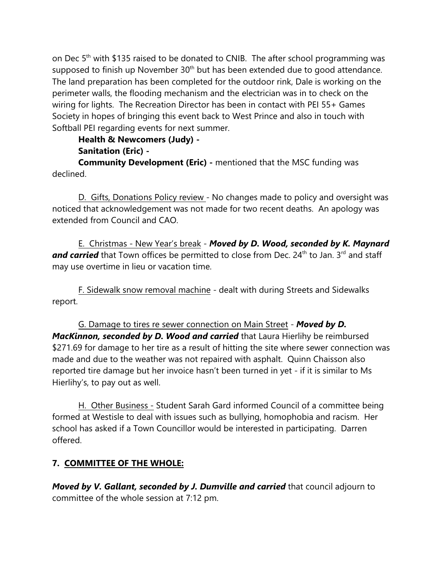on Dec 5<sup>th</sup> with \$135 raised to be donated to CNIB. The after school programming was supposed to finish up November 30<sup>th</sup> but has been extended due to good attendance. The land preparation has been completed for the outdoor rink, Dale is working on the perimeter walls, the flooding mechanism and the electrician was in to check on the wiring for lights. The Recreation Director has been in contact with PEI 55+ Games Society in hopes of bringing this event back to West Prince and also in touch with Softball PEI regarding events for next summer.

## **Health & Newcomers (Judy) -**

### **Sanitation (Eric) -**

**Community Development (Eric) -** mentioned that the MSC funding was declined.

D. Gifts, Donations Policy review - No changes made to policy and oversight was noticed that acknowledgement was not made for two recent deaths. An apology was extended from Council and CAO.

E. Christmas - New Year's break - *Moved by D. Wood, seconded by K. Maynard* and carried that Town offices be permitted to close from Dec. 24<sup>th</sup> to Jan. 3<sup>rd</sup> and staff may use overtime in lieu or vacation time.

F. Sidewalk snow removal machine - dealt with during Streets and Sidewalks report.

G. Damage to tires re sewer connection on Main Street - *Moved by D. MacKinnon, seconded by D. Wood and carried* that Laura Hierlihy be reimbursed \$271.69 for damage to her tire as a result of hitting the site where sewer connection was made and due to the weather was not repaired with asphalt. Quinn Chaisson also reported tire damage but her invoice hasn't been turned in yet - if it is similar to Ms Hierlihy's, to pay out as well.

H. Other Business - Student Sarah Gard informed Council of a committee being formed at Westisle to deal with issues such as bullying, homophobia and racism. Her school has asked if a Town Councillor would be interested in participating. Darren offered.

## **7. COMMITTEE OF THE WHOLE:**

*Moved by V. Gallant, seconded by J. Dumville and carried* that council adjourn to committee of the whole session at 7:12 pm.